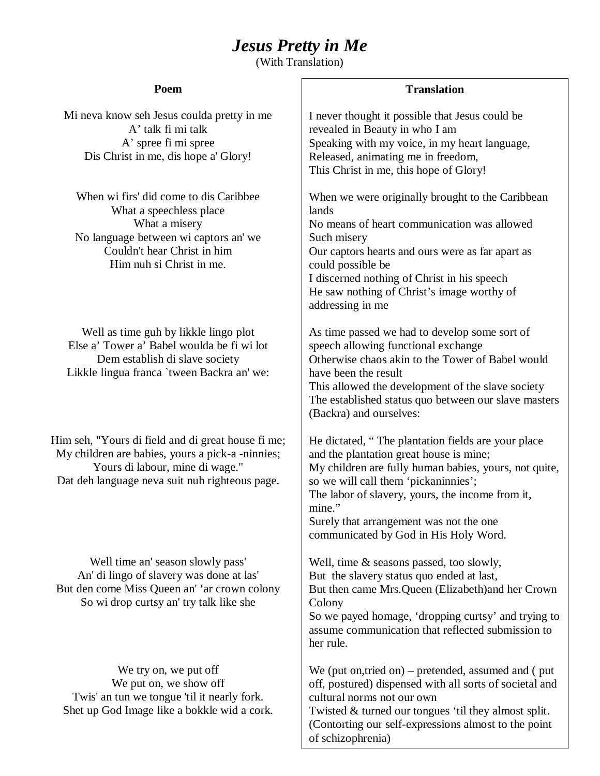## *Jesus Pretty in Me*

(With Translation)

| Poem                                                                                                                                                                                       | <b>Translation</b>                                                                                                                                                                                                                                                                                                                               |
|--------------------------------------------------------------------------------------------------------------------------------------------------------------------------------------------|--------------------------------------------------------------------------------------------------------------------------------------------------------------------------------------------------------------------------------------------------------------------------------------------------------------------------------------------------|
| Mi neva know seh Jesus coulda pretty in me<br>A' talk fi mi talk<br>A' spree fi mi spree<br>Dis Christ in me, dis hope a' Glory!                                                           | I never thought it possible that Jesus could be<br>revealed in Beauty in who I am<br>Speaking with my voice, in my heart language,<br>Released, animating me in freedom,<br>This Christ in me, this hope of Glory!                                                                                                                               |
| When wi firs' did come to dis Caribbee<br>What a speechless place<br>What a misery<br>No language between wi captors an' we<br>Couldn't hear Christ in him<br>Him nuh si Christ in me.     | When we were originally brought to the Caribbean<br>lands<br>No means of heart communication was allowed<br>Such misery<br>Our captors hearts and ours were as far apart as<br>could possible be<br>I discerned nothing of Christ in his speech<br>He saw nothing of Christ's image worthy of<br>addressing in me                                |
| Well as time guh by likkle lingo plot<br>Else a' Tower a' Babel woulda be fi wi lot<br>Dem establish di slave society<br>Likkle lingua franca 'tween Backra an' we:                        | As time passed we had to develop some sort of<br>speech allowing functional exchange<br>Otherwise chaos akin to the Tower of Babel would<br>have been the result<br>This allowed the development of the slave society<br>The established status quo between our slave masters<br>(Backra) and ourselves:                                         |
| Him seh, "Yours di field and di great house fi me;<br>My children are babies, yours a pick-a-ninnies;<br>Yours di labour, mine di wage."<br>Dat deh language neva suit nuh righteous page. | He dictated, "The plantation fields are your place<br>and the plantation great house is mine;<br>My children are fully human babies, yours, not quite,<br>so we will call them 'pickaninnies';<br>The labor of slavery, yours, the income from it,<br>mine."<br>Surely that arrangement was not the one<br>communicated by God in His Holy Word. |
| Well time an' season slowly pass'<br>An' di lingo of slavery was done at las'<br>But den come Miss Queen an' 'ar crown colony<br>So wi drop curtsy an' try talk like she                   | Well, time & seasons passed, too slowly,<br>But the slavery status quo ended at last,<br>But then came Mrs. Queen (Elizabeth) and her Crown<br>Colony<br>So we payed homage, 'dropping curtsy' and trying to<br>assume communication that reflected submission to<br>her rule.                                                                   |
| We try on, we put off<br>We put on, we show off<br>Twis' an tun we tongue 'til it nearly fork.<br>Shet up God Image like a bokkle wid a cork.                                              | We (put on, tried on) – pretended, assumed and (put<br>off, postured) dispensed with all sorts of societal and<br>cultural norms not our own<br>Twisted & turned our tongues 'til they almost split.<br>(Contorting our self-expressions almost to the point<br>of schizophrenia)                                                                |